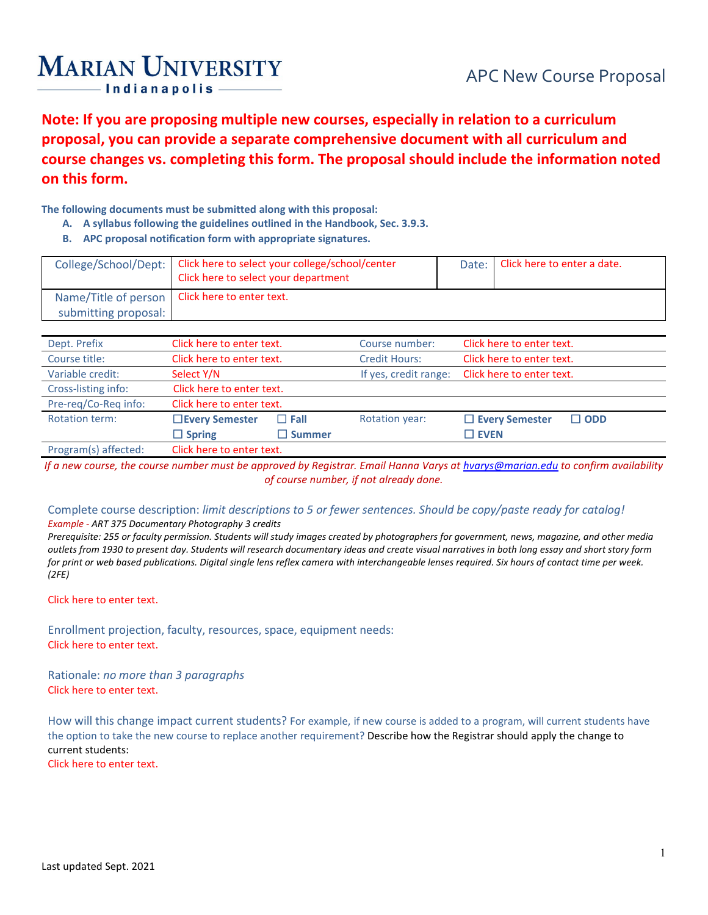# **MARIAN UNIVERSITY**

**Note: If you are proposing multiple new courses, especially in relation to a curriculum proposal, you can provide a separate comprehensive document with all curriculum and course changes vs. completing this form. The proposal should include the information noted on this form.**

## **The following documents must be submitted along with this proposal:**

- **A. A syllabus following the guidelines outlined in the Handbook, Sec. 3.9.3.**
- **B. APC proposal notification form with appropriate signatures.**

|                      | College/School/Dept:   Click here to select your college/school/center<br>Click here to select your department | Date: I | Click here to enter a date. |
|----------------------|----------------------------------------------------------------------------------------------------------------|---------|-----------------------------|
|                      | Name/Title of person   Click here to enter text.                                                               |         |                             |
| submitting proposal: |                                                                                                                |         |                             |

| Dept. Prefix          | Click here to enter text. |                  | Course number:        | Click here to enter text. |            |
|-----------------------|---------------------------|------------------|-----------------------|---------------------------|------------|
| Course title:         | Click here to enter text. |                  | <b>Credit Hours:</b>  | Click here to enter text. |            |
| Variable credit:      | Select Y/N                |                  | If yes, credit range: | Click here to enter text. |            |
| Cross-listing info:   | Click here to enter text. |                  |                       |                           |            |
| Pre-reg/Co-Reg info:  | Click here to enter text. |                  |                       |                           |            |
| <b>Rotation term:</b> | □ Every Semester          | $\Box$ Fall      | <b>Rotation year:</b> | $\Box$ Every Semester     | $\Box$ ODD |
|                       | $\Box$ Spring             | $\square$ Summer |                       | $\square$ EVEN            |            |
| Program(s) affected:  | Click here to enter text. |                  |                       |                           |            |

*If a new course, the course number must be approved by Registrar. Email Hanna Varys a[t hvarys@marian.edu](mailto:hvarys@marian.edu) to confirm availability of course number, if not already done.*

## Complete course description: *limit descriptions to 5 or fewer sentences. Should be copy/paste ready for catalog!*

#### *Example - ART 375 Documentary Photography 3 credits*

*Prerequisite: 255 or faculty permission. Students will study images created by photographers for government, news, magazine, and other media outlets from 1930 to present day. Students will research documentary ideas and create visual narratives in both long essay and short story form for print or web based publications. Digital single lens reflex camera with interchangeable lenses required. Six hours of contact time per week. (2FE)*

#### Click here to enter text.

Enrollment projection, faculty, resources, space, equipment needs: Click here to enter text.

Rationale: *no more than 3 paragraphs* Click here to enter text.

How will this change impact current students? For example, if new course is added to a program, will current students have the option to take the new course to replace another requirement? Describe how the Registrar should apply the change to current students:

Click here to enter text.